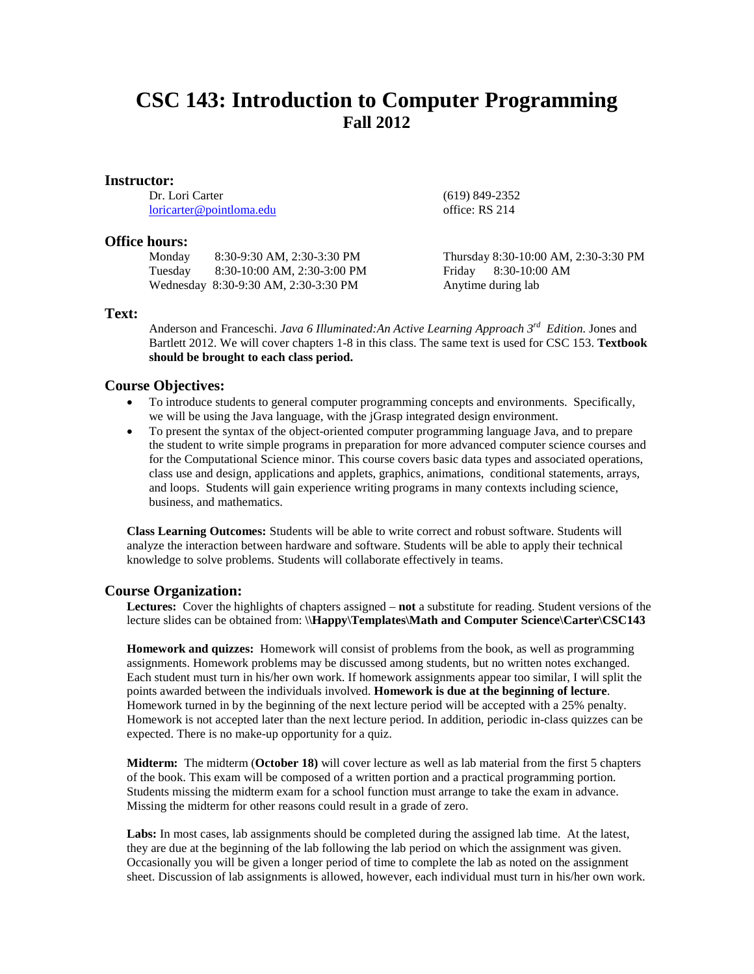# **CSC 143: Introduction to Computer Programming Fall 2012**

#### **Instructor:**

Dr. Lori Carter [loricarter@pointloma.edu](mailto:loricarter@pointloma.edu)

### **Office hours:**

| Monday  | 8:30-9:30 AM, 2:30-3:30 PM           |
|---------|--------------------------------------|
| Tuesday | 8:30-10:00 AM, 2:30-3:00 PM          |
|         | Wednesday 8:30-9:30 AM, 2:30-3:30 PM |

office: RS 214

(619) 849-2352

Thursday 8:30-10:00 AM, 2:30-3:30 PM Friday 8:30-10:00 AM Anytime during lab

## **Text:**

Anderson and Franceschi. *Java 6 Illuminated:An Active Learning Approach 3rd Edition.* Jones and Bartlett 2012. We will cover chapters 1-8 in this class. The same text is used for CSC 153. **Textbook should be brought to each class period.**

#### **Course Objectives:**

- To introduce students to general computer programming concepts and environments. Specifically, we will be using the Java language, with the jGrasp integrated design environment.
- To present the syntax of the object-oriented computer programming language Java, and to prepare the student to write simple programs in preparation for more advanced computer science courses and for the Computational Science minor. This course covers basic data types and associated operations, class use and design, applications and applets, graphics, animations, conditional statements, arrays, and loops. Students will gain experience writing programs in many contexts including science, business, and mathematics.

**Class Learning Outcomes:** Students will be able to write correct and robust software. Students will analyze the interaction between hardware and software. Students will be able to apply their technical knowledge to solve problems. Students will collaborate effectively in teams.

#### **Course Organization:**

**Lectures:** Cover the highlights of chapters assigned – **not** a substitute for reading. Student versions of the lecture slides can be obtained from: **\\Happy\Templates\Math and Computer Science\Carter\CSC143**

**Homework and quizzes:** Homework will consist of problems from the book, as well as programming assignments. Homework problems may be discussed among students, but no written notes exchanged. Each student must turn in his/her own work. If homework assignments appear too similar, I will split the points awarded between the individuals involved. **Homework is due at the beginning of lecture**. Homework turned in by the beginning of the next lecture period will be accepted with a 25% penalty. Homework is not accepted later than the next lecture period. In addition, periodic in-class quizzes can be expected. There is no make-up opportunity for a quiz.

**Midterm:** The midterm (**October 18)** will cover lecture as well as lab material from the first 5 chapters of the book. This exam will be composed of a written portion and a practical programming portion. Students missing the midterm exam for a school function must arrange to take the exam in advance. Missing the midterm for other reasons could result in a grade of zero.

**Labs:** In most cases, lab assignments should be completed during the assigned lab time. At the latest, they are due at the beginning of the lab following the lab period on which the assignment was given. Occasionally you will be given a longer period of time to complete the lab as noted on the assignment sheet. Discussion of lab assignments is allowed, however, each individual must turn in his/her own work.